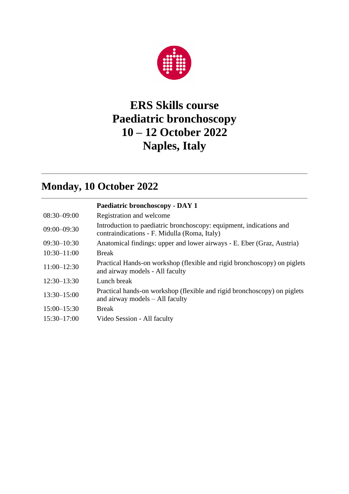

## **ERS Skills course Paediatric bronchoscopy 10 – 12 October 2022 Naples, Italy**

## **Monday, 10 October 2022**

|                 | Paediatric bronchoscopy - DAY 1                                                                                     |
|-----------------|---------------------------------------------------------------------------------------------------------------------|
| $08:30 - 09:00$ | Registration and welcome                                                                                            |
| $09:00 - 09:30$ | Introduction to paediatric bronchoscopy: equipment, indications and<br>contraindications - F. Midulla (Roma, Italy) |
| $09:30 - 10:30$ | Anatomical findings: upper and lower airways - E. Eber (Graz, Austria)                                              |
| $10:30 - 11:00$ | <b>Break</b>                                                                                                        |
| $11:00 - 12:30$ | Practical Hands-on workshop (flexible and rigid bronchoscopy) on piglets<br>and airway models - All faculty         |
| $12:30 - 13:30$ | Lunch break                                                                                                         |
| $13:30 - 15:00$ | Practical hands-on workshop (flexible and rigid bronchoscopy) on piglets<br>and airway models – All faculty         |
| $15:00 - 15:30$ | <b>Break</b>                                                                                                        |
| $15:30 - 17:00$ | Video Session - All faculty                                                                                         |